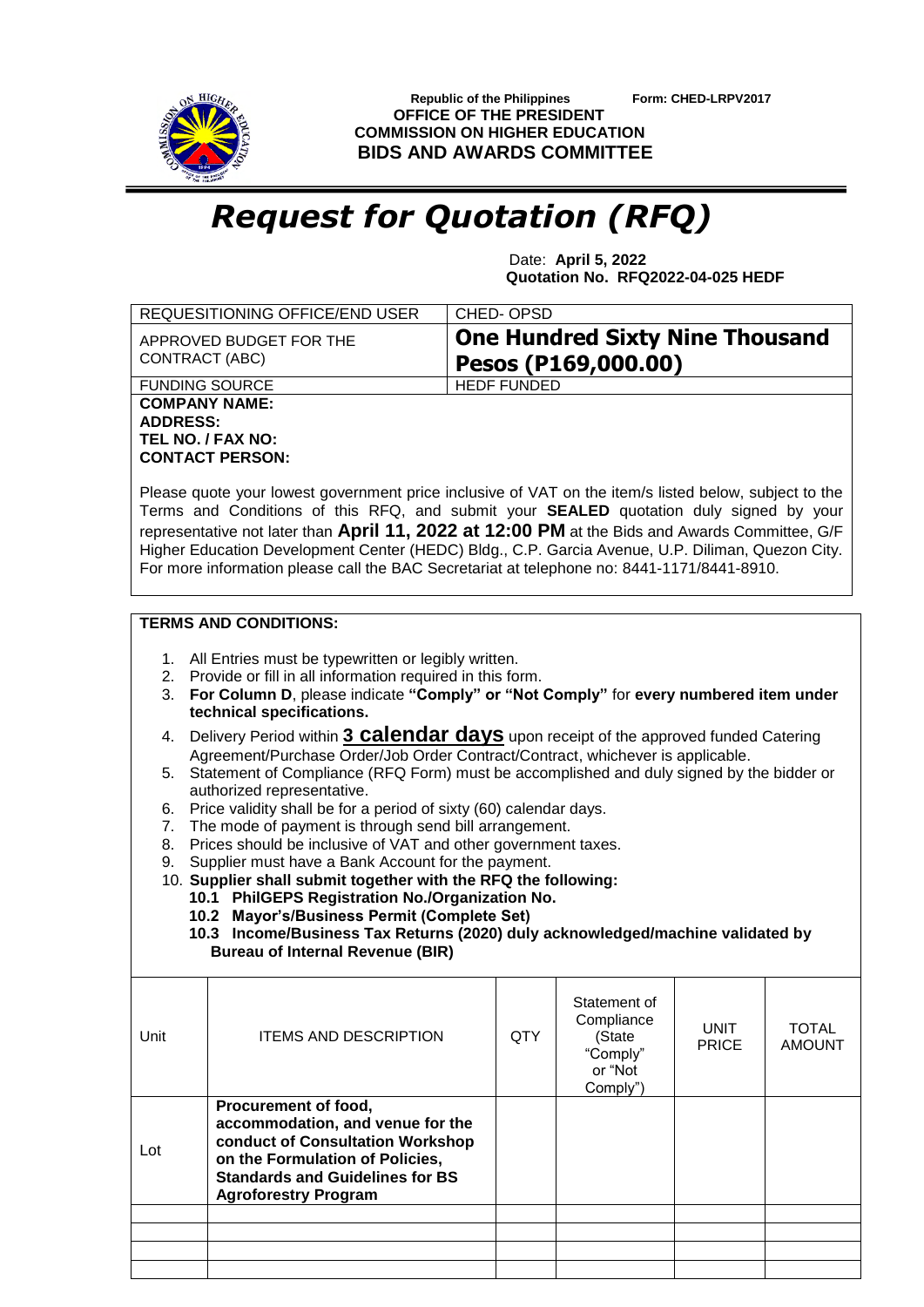

 **Republic of the Philippines Form: CHED-LRPV2017 OFFICE OF THE PRESIDENT COMMISSION ON HIGHER EDUCATION BIDS AND AWARDS COMMITTEE**

## *Request for Quotation (RFQ)*

 Date: **April 5, 2022 Quotation No. RFQ2022-04-025 HEDF**

| <b>One Hundred Sixty Nine Thousand</b><br>APPROVED BUDGET FOR THE<br>CONTRACT (ABC)<br>Pesos (P169,000.00)<br><b>HEDF FUNDED</b><br><b>FUNDING SOURCE</b><br><b>COMPANY NAME:</b><br><b>ADDRESS:</b>                                                                                                                                                                                                                                                                                                                                                                                                                                                                                                                                                                                                                                                                                                                                                                                                                                                                                                                                               |                               |  |  |  |  |  |  |  |  |
|----------------------------------------------------------------------------------------------------------------------------------------------------------------------------------------------------------------------------------------------------------------------------------------------------------------------------------------------------------------------------------------------------------------------------------------------------------------------------------------------------------------------------------------------------------------------------------------------------------------------------------------------------------------------------------------------------------------------------------------------------------------------------------------------------------------------------------------------------------------------------------------------------------------------------------------------------------------------------------------------------------------------------------------------------------------------------------------------------------------------------------------------------|-------------------------------|--|--|--|--|--|--|--|--|
|                                                                                                                                                                                                                                                                                                                                                                                                                                                                                                                                                                                                                                                                                                                                                                                                                                                                                                                                                                                                                                                                                                                                                    |                               |  |  |  |  |  |  |  |  |
|                                                                                                                                                                                                                                                                                                                                                                                                                                                                                                                                                                                                                                                                                                                                                                                                                                                                                                                                                                                                                                                                                                                                                    |                               |  |  |  |  |  |  |  |  |
| TEL NO. / FAX NO:<br><b>CONTACT PERSON:</b><br>Please quote your lowest government price inclusive of VAT on the item/s listed below, subject to the<br>Terms and Conditions of this RFQ, and submit your SEALED quotation duly signed by your<br>representative not later than April 11, 2022 at 12:00 PM at the Bids and Awards Committee, G/F<br>Higher Education Development Center (HEDC) Bldg., C.P. Garcia Avenue, U.P. Diliman, Quezon City.<br>For more information please call the BAC Secretariat at telephone no: 8441-1171/8441-8910.                                                                                                                                                                                                                                                                                                                                                                                                                                                                                                                                                                                                 |                               |  |  |  |  |  |  |  |  |
| <b>TERMS AND CONDITIONS:</b>                                                                                                                                                                                                                                                                                                                                                                                                                                                                                                                                                                                                                                                                                                                                                                                                                                                                                                                                                                                                                                                                                                                       |                               |  |  |  |  |  |  |  |  |
| 1. All Entries must be typewritten or legibly written.<br>2. Provide or fill in all information required in this form.<br>3. For Column D, please indicate "Comply" or "Not Comply" for every numbered item under<br>technical specifications.<br>Delivery Period within 3 <b>Calendar days</b> upon receipt of the approved funded Catering<br>4.<br>Agreement/Purchase Order/Job Order Contract/Contract, whichever is applicable.<br>Statement of Compliance (RFQ Form) must be accomplished and duly signed by the bidder or<br>5.<br>authorized representative.<br>Price validity shall be for a period of sixty (60) calendar days.<br>6.<br>The mode of payment is through send bill arrangement.<br>7.<br>Prices should be inclusive of VAT and other government taxes.<br>8.<br>Supplier must have a Bank Account for the payment.<br>9.<br>10. Supplier shall submit together with the RFQ the following:<br>10.1 PhilGEPS Registration No./Organization No.<br>10.2 Mayor's/Business Permit (Complete Set)<br>10.3 Income/Business Tax Returns (2020) duly acknowledged/machine validated by<br><b>Bureau of Internal Revenue (BIR)</b> |                               |  |  |  |  |  |  |  |  |
| Statement of<br>Compliance<br><b>UNIT</b><br><b>ITEMS AND DESCRIPTION</b><br><b>QTY</b><br>Unit<br>(State<br><b>PRICE</b><br>"Comply"<br>or "Not<br>Comply")                                                                                                                                                                                                                                                                                                                                                                                                                                                                                                                                                                                                                                                                                                                                                                                                                                                                                                                                                                                       | <b>TOTAL</b><br><b>AMOUNT</b> |  |  |  |  |  |  |  |  |
|                                                                                                                                                                                                                                                                                                                                                                                                                                                                                                                                                                                                                                                                                                                                                                                                                                                                                                                                                                                                                                                                                                                                                    |                               |  |  |  |  |  |  |  |  |
| Procurement of food,<br>accommodation, and venue for the<br>conduct of Consultation Workshop<br>Lot<br>on the Formulation of Policies,<br><b>Standards and Guidelines for BS</b><br><b>Agroforestry Program</b>                                                                                                                                                                                                                                                                                                                                                                                                                                                                                                                                                                                                                                                                                                                                                                                                                                                                                                                                    |                               |  |  |  |  |  |  |  |  |
|                                                                                                                                                                                                                                                                                                                                                                                                                                                                                                                                                                                                                                                                                                                                                                                                                                                                                                                                                                                                                                                                                                                                                    |                               |  |  |  |  |  |  |  |  |
|                                                                                                                                                                                                                                                                                                                                                                                                                                                                                                                                                                                                                                                                                                                                                                                                                                                                                                                                                                                                                                                                                                                                                    |                               |  |  |  |  |  |  |  |  |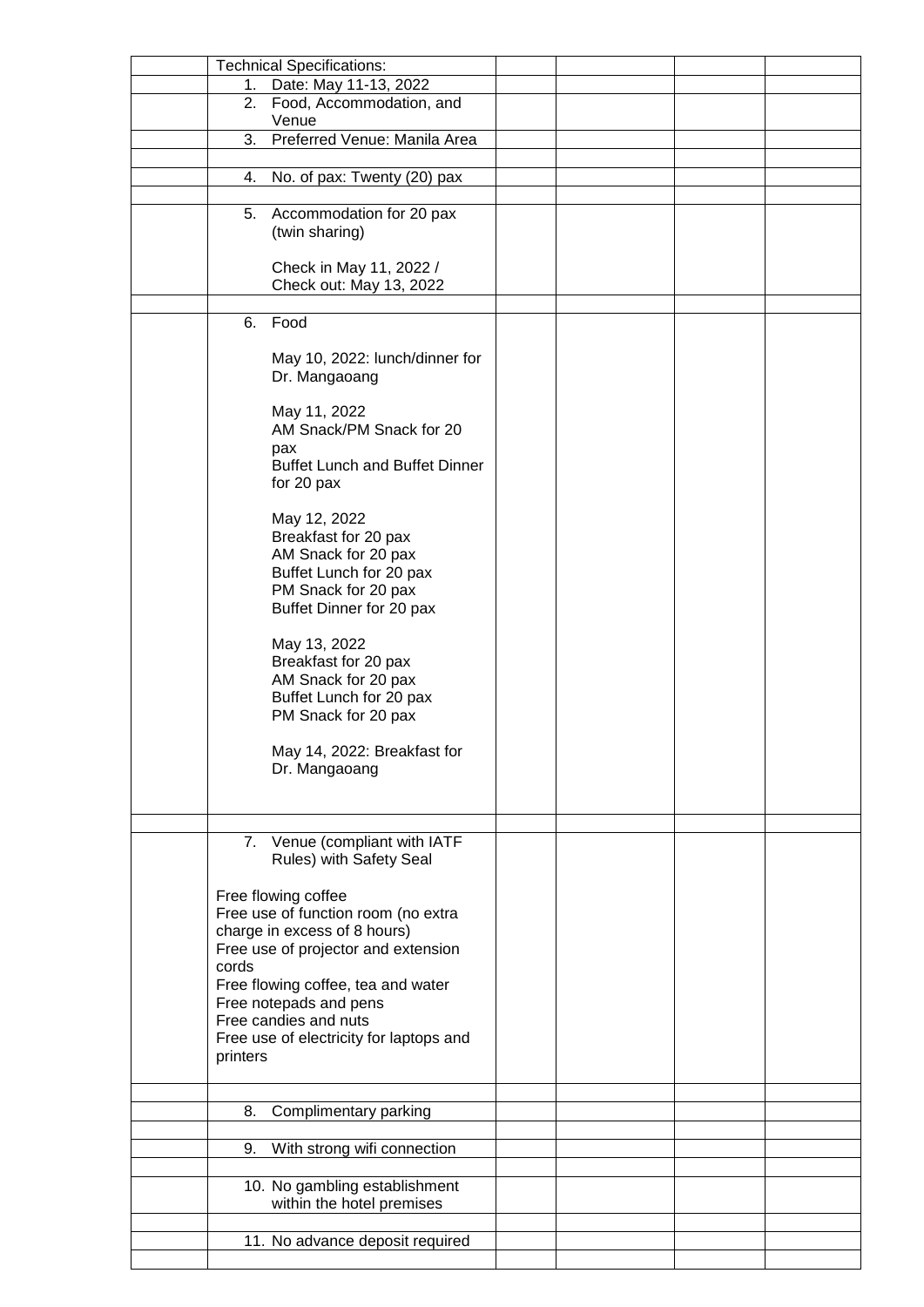|          | <b>Technical Specifications:</b>        |  |  |
|----------|-----------------------------------------|--|--|
| 1.       | Date: May 11-13, 2022                   |  |  |
| 2.       | Food, Accommodation, and                |  |  |
|          | Venue                                   |  |  |
| 3.       | Preferred Venue: Manila Area            |  |  |
|          |                                         |  |  |
| 4.       | No. of pax: Twenty (20) pax             |  |  |
|          |                                         |  |  |
| 5.       | Accommodation for 20 pax                |  |  |
|          | (twin sharing)                          |  |  |
|          |                                         |  |  |
|          | Check in May 11, 2022 /                 |  |  |
|          | Check out: May 13, 2022                 |  |  |
|          |                                         |  |  |
| 6.       | Food                                    |  |  |
|          |                                         |  |  |
|          | May 10, 2022: lunch/dinner for          |  |  |
|          | Dr. Mangaoang                           |  |  |
|          |                                         |  |  |
|          | May 11, 2022                            |  |  |
|          | AM Snack/PM Snack for 20                |  |  |
|          | pax                                     |  |  |
|          | <b>Buffet Lunch and Buffet Dinner</b>   |  |  |
|          | for 20 pax                              |  |  |
|          |                                         |  |  |
|          | May 12, 2022                            |  |  |
|          | Breakfast for 20 pax                    |  |  |
|          | AM Snack for 20 pax                     |  |  |
|          | Buffet Lunch for 20 pax                 |  |  |
|          | PM Snack for 20 pax                     |  |  |
|          | Buffet Dinner for 20 pax                |  |  |
|          |                                         |  |  |
|          | May 13, 2022                            |  |  |
|          | Breakfast for 20 pax                    |  |  |
|          | AM Snack for 20 pax                     |  |  |
|          | Buffet Lunch for 20 pax                 |  |  |
|          | PM Snack for 20 pax                     |  |  |
|          |                                         |  |  |
|          | May 14, 2022: Breakfast for             |  |  |
|          | Dr. Mangaoang                           |  |  |
|          |                                         |  |  |
|          |                                         |  |  |
|          | 7. Venue (compliant with IATF           |  |  |
|          | Rules) with Safety Seal                 |  |  |
|          |                                         |  |  |
|          | Free flowing coffee                     |  |  |
|          | Free use of function room (no extra     |  |  |
|          | charge in excess of 8 hours)            |  |  |
|          | Free use of projector and extension     |  |  |
| cords    |                                         |  |  |
|          | Free flowing coffee, tea and water      |  |  |
|          | Free notepads and pens                  |  |  |
|          | Free candies and nuts                   |  |  |
|          | Free use of electricity for laptops and |  |  |
| printers |                                         |  |  |
|          |                                         |  |  |
|          |                                         |  |  |
| 8.       | Complimentary parking                   |  |  |
|          |                                         |  |  |
| 9.       | With strong wifi connection             |  |  |
|          |                                         |  |  |
|          | 10. No gambling establishment           |  |  |
|          | within the hotel premises               |  |  |
|          |                                         |  |  |
|          | 11. No advance deposit required         |  |  |
|          |                                         |  |  |